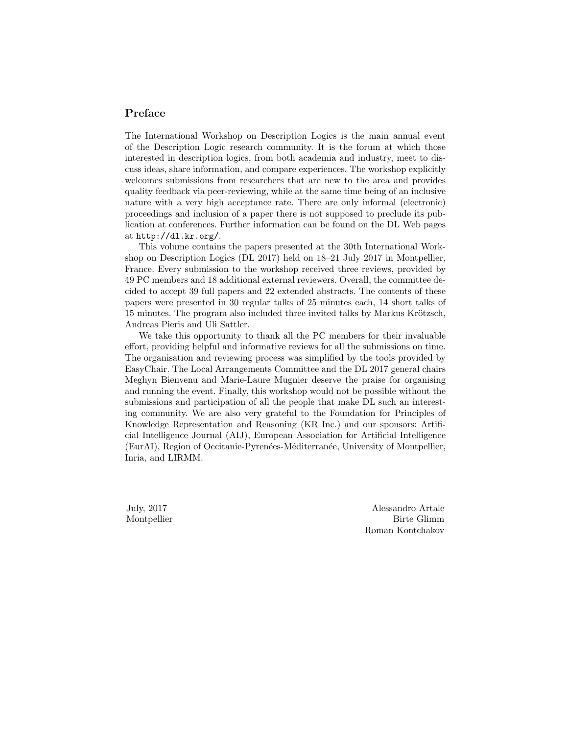# Preface

The International Workshop on Description Logics is the main annual event of the Description Logic research community. It is the forum at which those interested in description logics, from both academia and industry, meet to discuss ideas, share information, and compare experiences. The workshop explicitly welcomes submissions from researchers that are new to the area and provides quality feedback via peer-reviewing, while at the same time being of an inclusive nature with a very high acceptance rate. There are only informal (electronic) proceedings and inclusion of a paper there is not supposed to preclude its publication at conferences. Further information can be found on the DL Web pages at http://dl.kr.org/.

This volume contains the papers presented at the 30th International Workshop on Description Logics (DL 2017) held on 18–21 July 2017 in Montpellier, France. Every submission to the workshop received three reviews, provided by 49 PC members and 18 additional external reviewers. Overall, the committee decided to accept 39 full papers and 22 extended abstracts. The contents of these papers were presented in 30 regular talks of 25 minutes each, 14 short talks of 15 minutes. The program also included three invited talks by Markus Krötzsch, Andreas Pieris and Uli Sattler.

We take this opportunity to thank all the PC members for their invaluable effort, providing helpful and informative reviews for all the submissions on time. The organisation and reviewing process was simplified by the tools provided by EasyChair. The Local Arrangements Committee and the DL 2017 general chairs Meghyn Bienvenu and Marie-Laure Mugnier deserve the praise for organising and running the event. Finally, this workshop would not be possible without the submissions and participation of all the people that make DL such an interesting community. We are also very grateful to the Foundation for Principles of Knowledge Representation and Reasoning (KR Inc.) and our sponsors: Artificial Intelligence Journal (AIJ), European Association for Artificial Intelligence (EurAI), Region of Occitanie-Pyrenées-Méditerranée, University of Montpellier, Inria, and LIRMM.

July, 2017 Montpellier

Alessandro Artale Birte Glimm Roman Kontchakov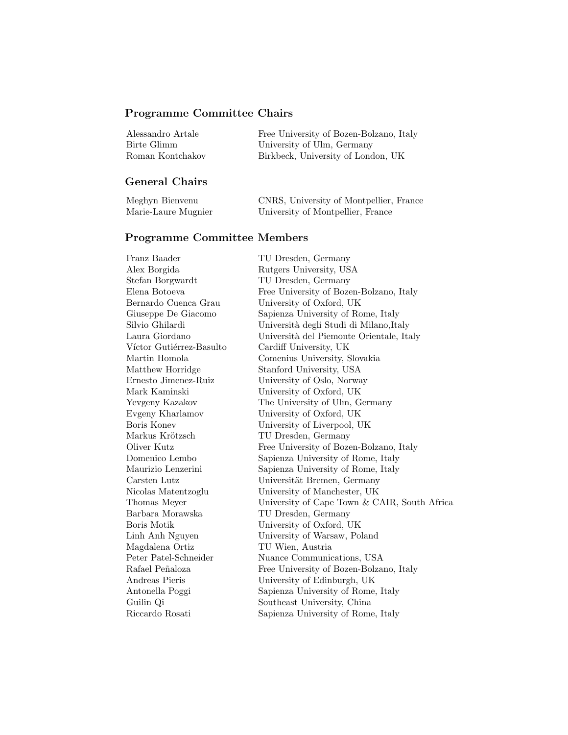## Programme Committee Chairs

| Alessandro Artale | Free University of Bozen-Bolzano, Italy |
|-------------------|-----------------------------------------|
| Birte Glimm       | University of Ulm, Germany              |
| Roman Kontchakov  | Birkbeck, University of London, UK      |

### General Chairs

| Meghyn Bienvenu     | CNRS, University of Montpellier, France |
|---------------------|-----------------------------------------|
| Marie-Laure Mugnier | University of Montpellier, France       |

#### Programme Committee Members

Alex Borgida Rutgers University, USA Stefan Borgwardt TU Dresden, Germany Víctor Gutiérrez-Basulto Cardiff University, UK Markus Krötzsch TU Dresden, Germany Barbara Morawska TU Dresden, Germany Magdalena Ortiz TU Wien, Austria Riccardo Rosati Sapienza University of Rome, Italy

Franz Baader TU Dresden, Germany Elena Botoeva Free University of Bozen-Bolzano, Italy Bernardo Cuenca Grau University of Oxford, UK Giuseppe De Giacomo Sapienza University of Rome, Italy Silvio Ghilardi Università degli Studi di Milano,Italy Laura Giordano Università del Piemonte Orientale, Italy Martin Homola Comenius University, Slovakia Matthew Horridge Stanford University, USA Ernesto Jimenez-Ruiz University of Oslo, Norway Mark Kaminski University of Oxford, UK Yevgeny Kazakov The University of Ulm, Germany Evgeny Kharlamov University of Oxford, UK Boris Konev University of Liverpool, UK Oliver Kutz Free University of Bozen-Bolzano, Italy Domenico Lembo Sapienza University of Rome, Italy Maurizio Lenzerini Sapienza University of Rome, Italy Carsten Lutz Universität Bremen, Germany Nicolas Matentzoglu University of Manchester, UK Thomas Meyer University of Cape Town & CAIR, South Africa Boris Motik University of Oxford, UK Linh Anh Nguyen University of Warsaw, Poland Peter Patel-Schneider Nuance Communications, USA Rafael Peñaloza Free University of Bozen-Bolzano, Italy Andreas Pieris University of Edinburgh, UK Antonella Poggi Sapienza University of Rome, Italy Guilin Qi Southeast University, China